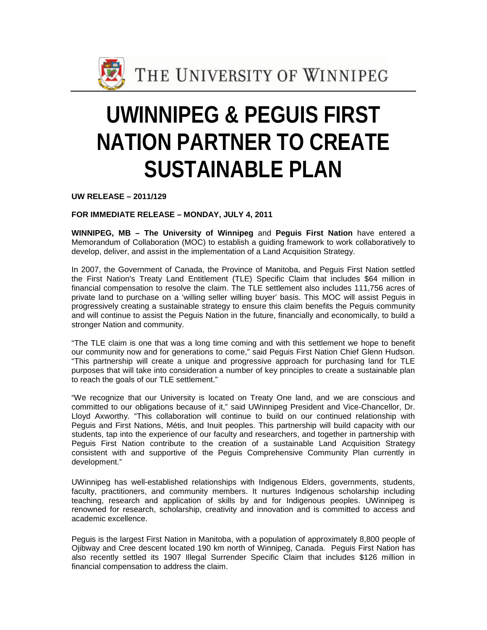

## **UWINNIPEG & PEGUIS FIRST NATION PARTNER TO CREATE SUSTAINABLE PLAN**

**UW RELEASE – 2011/129**

**FOR IMMEDIATE RELEASE – MONDAY, JULY 4, 2011**

**WINNIPEG, MB – The University of Winnipeg** and **Peguis First Nation** have entered a Memorandum of Collaboration (MOC) to establish a guiding framework to work collaboratively to develop, deliver, and assist in the implementation of a Land Acquisition Strategy.

In 2007, the Government of Canada, the Province of Manitoba, and Peguis First Nation settled the First Nation's Treaty Land Entitlement (TLE) Specific Claim that includes \$64 million in financial compensation to resolve the claim. The TLE settlement also includes 111,756 acres of private land to purchase on a 'willing seller willing buyer' basis. This MOC will assist Peguis in progressively creating a sustainable strategy to ensure this claim benefits the Peguis community and will continue to assist the Peguis Nation in the future, financially and economically, to build a stronger Nation and community.

"The TLE claim is one that was a long time coming and with this settlement we hope to benefit our community now and for generations to come," said Peguis First Nation Chief Glenn Hudson. "This partnership will create a unique and progressive approach for purchasing land for TLE purposes that will take into consideration a number of key principles to create a sustainable plan to reach the goals of our TLE settlement."

"We recognize that our University is located on Treaty One land, and we are conscious and committed to our obligations because of it," said UWinnipeg President and Vice-Chancellor, Dr. Lloyd Axworthy. "This collaboration will continue to build on our continued relationship with Peguis and First Nations, Métis, and Inuit peoples. This partnership will build capacity with our students, tap into the experience of our faculty and researchers, and together in partnership with Peguis First Nation contribute to the creation of a sustainable Land Acquisition Strategy consistent with and supportive of the Peguis Comprehensive Community Plan currently in development."

UWinnipeg has well-established relationships with Indigenous Elders, governments, students, faculty, practitioners, and community members. It nurtures Indigenous scholarship including teaching, research and application of skills by and for Indigenous peoples. UWinnipeg is renowned for research, scholarship, creativity and innovation and is committed to access and academic excellence.

Peguis is the largest First Nation in Manitoba, with a population of approximately 8,800 people of Ojibway and Cree descent located 190 km north of Winnipeg, Canada. Peguis First Nation has also recently settled its 1907 Illegal Surrender Specific Claim that includes \$126 million in financial compensation to address the claim.